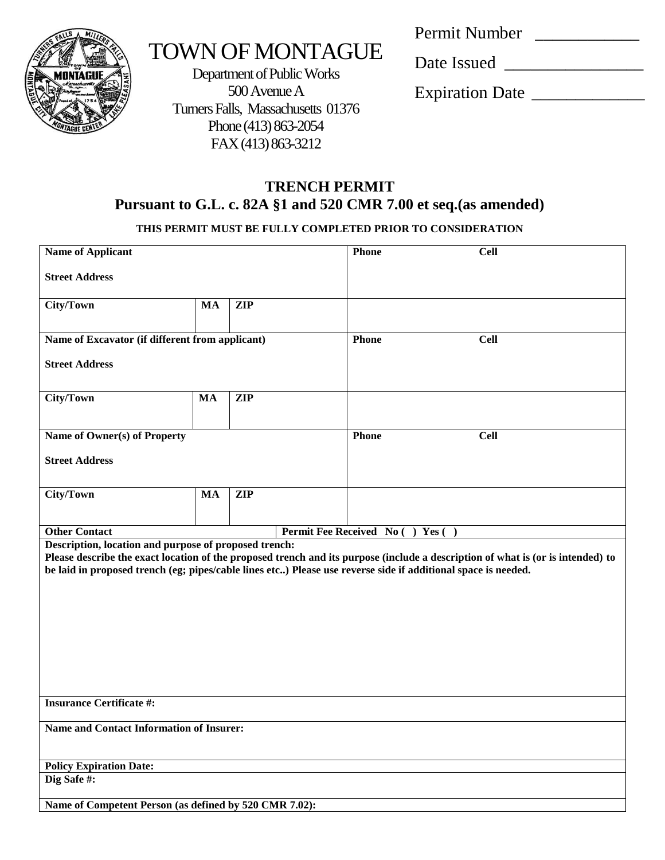

# TOWN OF MONTAGUE

Department of Public Works 500 Avenue A Turners Falls, Massachusetts 01376 Phone (413) 863-2054 FAX (413) 863-3212

Permit Number \_\_\_\_\_\_\_\_\_\_\_\_

Date Issued \_\_\_\_\_\_\_\_\_\_\_\_\_\_\_\_

Expiration Date \_\_\_\_\_\_\_\_\_\_\_\_\_

## **TRENCH PERMIT Pursuant to G.L. c. 82A §1 and 520 CMR 7.00 et seq.(as amended)**

### **THIS PERMIT MUST BE FULLY COMPLETED PRIOR TO CONSIDERATION**

| <b>Name of Applicant</b>                                                                                                                                               |           |            | <b>Phone</b>              | <b>Cell</b>                                                                                                                     |  |  |
|------------------------------------------------------------------------------------------------------------------------------------------------------------------------|-----------|------------|---------------------------|---------------------------------------------------------------------------------------------------------------------------------|--|--|
| <b>Street Address</b>                                                                                                                                                  |           |            |                           |                                                                                                                                 |  |  |
| City/Town                                                                                                                                                              | <b>MA</b> | <b>ZIP</b> |                           |                                                                                                                                 |  |  |
| Name of Excavator (if different from applicant)                                                                                                                        |           |            | Phone                     | <b>Cell</b>                                                                                                                     |  |  |
| <b>Street Address</b>                                                                                                                                                  |           |            |                           |                                                                                                                                 |  |  |
| City/Town                                                                                                                                                              | MA        | <b>ZIP</b> |                           |                                                                                                                                 |  |  |
| Name of Owner(s) of Property                                                                                                                                           |           |            | <b>Phone</b>              | <b>Cell</b>                                                                                                                     |  |  |
| <b>Street Address</b>                                                                                                                                                  |           |            |                           |                                                                                                                                 |  |  |
| City/Town                                                                                                                                                              | <b>MA</b> | <b>ZIP</b> |                           |                                                                                                                                 |  |  |
| <b>Other Contact</b>                                                                                                                                                   |           |            | Permit Fee Received No () | Yes $( )$                                                                                                                       |  |  |
| Description, location and purpose of proposed trench:<br>be laid in proposed trench (eg; pipes/cable lines etc) Please use reverse side if additional space is needed. |           |            |                           | Please describe the exact location of the proposed trench and its purpose (include a description of what is (or is intended) to |  |  |
| <b>Insurance Certificate #:</b>                                                                                                                                        |           |            |                           |                                                                                                                                 |  |  |
| <b>Name and Contact Information of Insurer:</b>                                                                                                                        |           |            |                           |                                                                                                                                 |  |  |
| <b>Policy Expiration Date:</b>                                                                                                                                         |           |            |                           |                                                                                                                                 |  |  |
| Dig Safe#:                                                                                                                                                             |           |            |                           |                                                                                                                                 |  |  |
| Name of Competent Person (as defined by 520 CMR 7.02):                                                                                                                 |           |            |                           |                                                                                                                                 |  |  |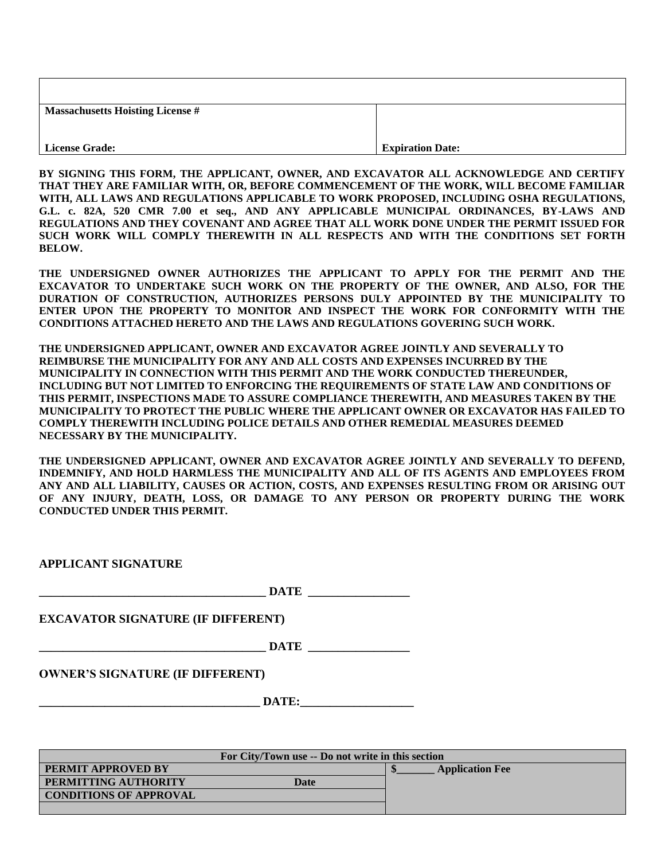| <b>Massachusetts Hoisting License #</b> |                         |
|-----------------------------------------|-------------------------|
|                                         |                         |
| License Grade:                          | <b>Expiration Date:</b> |

**BY SIGNING THIS FORM, THE APPLICANT, OWNER, AND EXCAVATOR ALL ACKNOWLEDGE AND CERTIFY THAT THEY ARE FAMILIAR WITH, OR, BEFORE COMMENCEMENT OF THE WORK, WILL BECOME FAMILIAR WITH, ALL LAWS AND REGULATIONS APPLICABLE TO WORK PROPOSED, INCLUDING OSHA REGULATIONS, G.L. c. 82A, 520 CMR 7.00 et seq., AND ANY APPLICABLE MUNICIPAL ORDINANCES, BY-LAWS AND REGULATIONS AND THEY COVENANT AND AGREE THAT ALL WORK DONE UNDER THE PERMIT ISSUED FOR SUCH WORK WILL COMPLY THEREWITH IN ALL RESPECTS AND WITH THE CONDITIONS SET FORTH BELOW.**

**THE UNDERSIGNED OWNER AUTHORIZES THE APPLICANT TO APPLY FOR THE PERMIT AND THE EXCAVATOR TO UNDERTAKE SUCH WORK ON THE PROPERTY OF THE OWNER, AND ALSO, FOR THE DURATION OF CONSTRUCTION, AUTHORIZES PERSONS DULY APPOINTED BY THE MUNICIPALITY TO ENTER UPON THE PROPERTY TO MONITOR AND INSPECT THE WORK FOR CONFORMITY WITH THE CONDITIONS ATTACHED HERETO AND THE LAWS AND REGULATIONS GOVERING SUCH WORK.** 

**THE UNDERSIGNED APPLICANT, OWNER AND EXCAVATOR AGREE JOINTLY AND SEVERALLY TO REIMBURSE THE MUNICIPALITY FOR ANY AND ALL COSTS AND EXPENSES INCURRED BY THE MUNICIPALITY IN CONNECTION WITH THIS PERMIT AND THE WORK CONDUCTED THEREUNDER, INCLUDING BUT NOT LIMITED TO ENFORCING THE REQUIREMENTS OF STATE LAW AND CONDITIONS OF THIS PERMIT, INSPECTIONS MADE TO ASSURE COMPLIANCE THEREWITH, AND MEASURES TAKEN BY THE MUNICIPALITY TO PROTECT THE PUBLIC WHERE THE APPLICANT OWNER OR EXCAVATOR HAS FAILED TO COMPLY THEREWITH INCLUDING POLICE DETAILS AND OTHER REMEDIAL MEASURES DEEMED NECESSARY BY THE MUNICIPALITY.**

**THE UNDERSIGNED APPLICANT, OWNER AND EXCAVATOR AGREE JOINTLY AND SEVERALLY TO DEFEND, INDEMNIFY, AND HOLD HARMLESS THE MUNICIPALITY AND ALL OF ITS AGENTS AND EMPLOYEES FROM ANY AND ALL LIABILITY, CAUSES OR ACTION, COSTS, AND EXPENSES RESULTING FROM OR ARISING OUT OF ANY INJURY, DEATH, LOSS, OR DAMAGE TO ANY PERSON OR PROPERTY DURING THE WORK CONDUCTED UNDER THIS PERMIT.** 

|                                           | <b>DATE</b> |  |
|-------------------------------------------|-------------|--|
| <b>EXCAVATOR SIGNATURE (IF DIFFERENT)</b> |             |  |
|                                           | DATE        |  |
| <b>OWNER'S SIGNATURE (IF DIFFERENT)</b>   |             |  |
|                                           | DATE:       |  |

| For City/Town use -- Do not write in this section |                        |  |  |  |  |
|---------------------------------------------------|------------------------|--|--|--|--|
| <b>PERMIT APPROVED BY</b>                         | <b>Application Fee</b> |  |  |  |  |
| <b>PERMITTING AUTHORITY</b><br>Date               |                        |  |  |  |  |
| <b>CONDITIONS OF APPROVAL</b>                     |                        |  |  |  |  |
|                                                   |                        |  |  |  |  |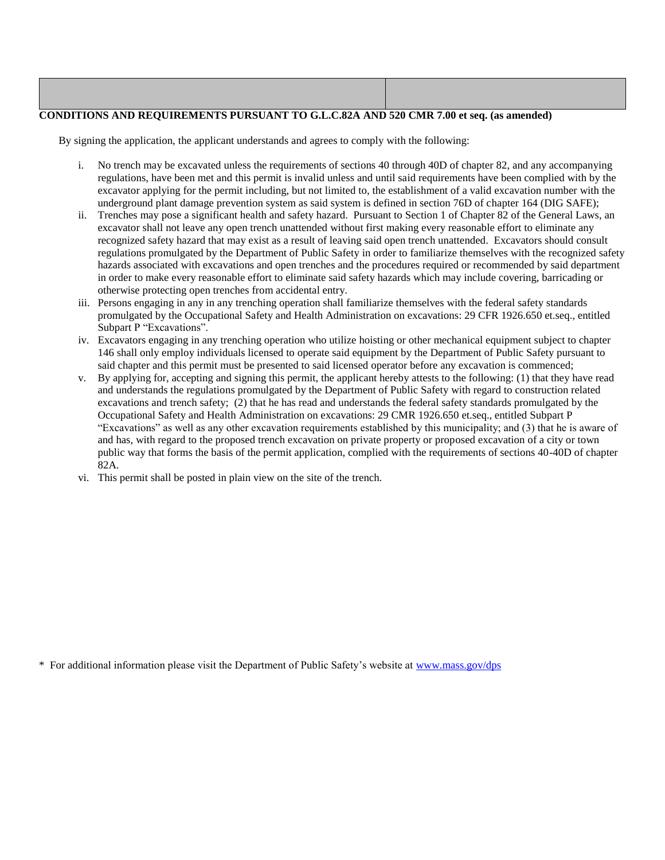#### **CONDITIONS AND REQUIREMENTS PURSUANT TO G.L.C.82A AND 520 CMR 7.00 et seq. (as amended)**

By signing the application, the applicant understands and agrees to comply with the following:

- i. No trench may be excavated unless the requirements of sections 40 through 40D of chapter 82, and any accompanying regulations, have been met and this permit is invalid unless and until said requirements have been complied with by the excavator applying for the permit including, but not limited to, the establishment of a valid excavation number with the underground plant damage prevention system as said system is defined in section 76D of chapter 164 (DIG SAFE);
- ii. Trenches may pose a significant health and safety hazard. Pursuant to Section 1 of Chapter 82 of the General Laws, an excavator shall not leave any open trench unattended without first making every reasonable effort to eliminate any recognized safety hazard that may exist as a result of leaving said open trench unattended. Excavators should consult regulations promulgated by the Department of Public Safety in order to familiarize themselves with the recognized safety hazards associated with excavations and open trenches and the procedures required or recommended by said department in order to make every reasonable effort to eliminate said safety hazards which may include covering, barricading or otherwise protecting open trenches from accidental entry.
- iii. Persons engaging in any in any trenching operation shall familiarize themselves with the federal safety standards promulgated by the Occupational Safety and Health Administration on excavations: 29 CFR 1926.650 et.seq., entitled Subpart P "Excavations".
- iv. Excavators engaging in any trenching operation who utilize hoisting or other mechanical equipment subject to chapter 146 shall only employ individuals licensed to operate said equipment by the Department of Public Safety pursuant to said chapter and this permit must be presented to said licensed operator before any excavation is commenced;
- v. By applying for, accepting and signing this permit, the applicant hereby attests to the following: (1) that they have read and understands the regulations promulgated by the Department of Public Safety with regard to construction related excavations and trench safety; (2) that he has read and understands the federal safety standards promulgated by the Occupational Safety and Health Administration on excavations: 29 CMR 1926.650 et.seq., entitled Subpart P "Excavations" as well as any other excavation requirements established by this municipality; and (3) that he is aware of and has, with regard to the proposed trench excavation on private property or proposed excavation of a city or town public way that forms the basis of the permit application, complied with the requirements of sections 40-40D of chapter 82A.
- vi. This permit shall be posted in plain view on the site of the trench.

\* For additional information please visit the Department of Public Safety's website at [www.mass.gov/dps](http://www.mass.gov/dps)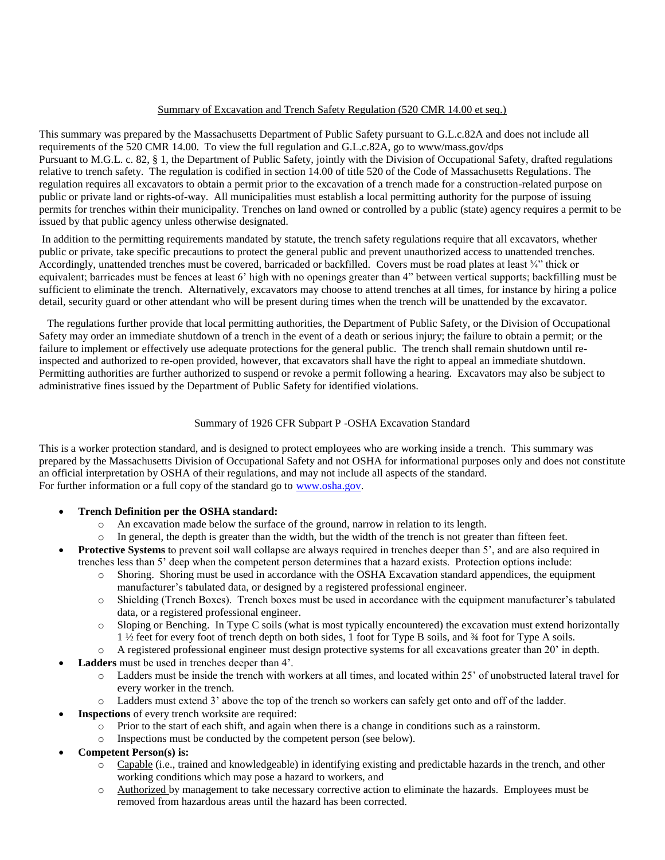#### Summary of Excavation and Trench Safety Regulation (520 CMR 14.00 et seq.)

This summary was prepared by the Massachusetts Department of Public Safety pursuant to G.L.c.82A and does not include all requirements of the 520 CMR 14.00. To view the full regulation and G.L.c.82A, go to www/mass.gov/dps Pursuant to M.G.L. c. 82, § 1, the Department of Public Safety, jointly with the Division of Occupational Safety, drafted regulations relative to trench safety. The regulation is codified in section 14.00 of title 520 of the Code of Massachusetts Regulations. The regulation requires all excavators to obtain a permit prior to the excavation of a trench made for a construction-related purpose on public or private land or rights-of-way. All municipalities must establish a local permitting authority for the purpose of issuing permits for trenches within their municipality. Trenches on land owned or controlled by a public (state) agency requires a permit to be issued by that public agency unless otherwise designated.

In addition to the permitting requirements mandated by statute, the trench safety regulations require that all excavators, whether public or private, take specific precautions to protect the general public and prevent unauthorized access to unattended trenches. Accordingly, unattended trenches must be covered, barricaded or backfilled. Covers must be road plates at least  $\frac{3}{4}$  thick or equivalent; barricades must be fences at least 6' high with no openings greater than 4" between vertical supports; backfilling must be sufficient to eliminate the trench. Alternatively, excavators may choose to attend trenches at all times, for instance by hiring a police detail, security guard or other attendant who will be present during times when the trench will be unattended by the excavator.

 The regulations further provide that local permitting authorities, the Department of Public Safety, or the Division of Occupational Safety may order an immediate shutdown of a trench in the event of a death or serious injury; the failure to obtain a permit; or the failure to implement or effectively use adequate protections for the general public. The trench shall remain shutdown until reinspected and authorized to re-open provided, however, that excavators shall have the right to appeal an immediate shutdown. Permitting authorities are further authorized to suspend or revoke a permit following a hearing. Excavators may also be subject to administrative fines issued by the Department of Public Safety for identified violations.

#### Summary of 1926 CFR Subpart P -OSHA Excavation Standard

This is a worker protection standard, and is designed to protect employees who are working inside a trench. This summary was prepared by the Massachusetts Division of Occupational Safety and not OSHA for informational purposes only and does not constitute an official interpretation by OSHA of their regulations, and may not include all aspects of the standard. For further information or a full copy of the standard go to [www.osha.gov.](http://www.osha.gov/)

#### **Trench Definition per the OSHA standard:**

- o An excavation made below the surface of the ground, narrow in relation to its length.
- $\circ$  In general, the depth is greater than the width, but the width of the trench is not greater than fifteen feet.
- **Protective Systems** to prevent soil wall collapse are always required in trenches deeper than 5', and are also required in trenches less than 5' deep when the competent person determines that a hazard exists. Protection options include:
	- o Shoring. Shoring must be used in accordance with the OSHA Excavation standard appendices, the equipment manufacturer's tabulated data, or designed by a registered professional engineer.
	- o Shielding (Trench Boxes). Trench boxes must be used in accordance with the equipment manufacturer's tabulated data, or a registered professional engineer.
	- o Sloping or Benching. In Type C soils (what is most typically encountered) the excavation must extend horizontally 1 ½ feet for every foot of trench depth on both sides, 1 foot for Type B soils, and ¾ foot for Type A soils.
	- o A registered professional engineer must design protective systems for all excavations greater than 20' in depth.
- **Ladders** must be used in trenches deeper than 4'.
	- o Ladders must be inside the trench with workers at all times, and located within 25' of unobstructed lateral travel for every worker in the trench.
	- o Ladders must extend 3' above the top of the trench so workers can safely get onto and off of the ladder.
- **Inspections** of every trench worksite are required:
	- o Prior to the start of each shift, and again when there is a change in conditions such as a rainstorm.
	- o Inspections must be conducted by the competent person (see below).
- **Competent Person(s) is:**
	- o Capable (i.e., trained and knowledgeable) in identifying existing and predictable hazards in the trench, and other working conditions which may pose a hazard to workers, and
	- o Authorized by management to take necessary corrective action to eliminate the hazards. Employees must be removed from hazardous areas until the hazard has been corrected.